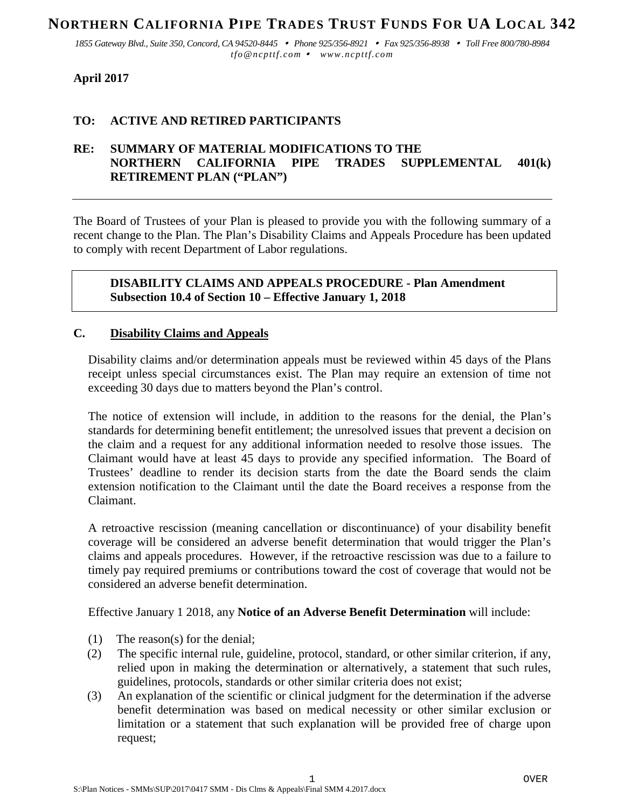# **NORTHERN CALIFORNIA PIPE TRADES TRUST FUNDS FOR UA LOCAL 342**

*1855 Gateway Blvd., Suite 350, Concord, CA 94520-8445 Phone 925/356-8921 Fax 925/356-8938 Toll Free 800/780-8984 tfo@ncpttf.com www.ncpttf.com*

## **April 2017**

### **TO: ACTIVE AND RETIRED PARTICIPANTS**

### **RE: SUMMARY OF MATERIAL MODIFICATIONS TO THE NORTHERN CALIFORNIA PIPE TRADES SUPPLEMENTAL 401(k) RETIREMENT PLAN ("PLAN")**

The Board of Trustees of your Plan is pleased to provide you with the following summary of a recent change to the Plan. The Plan's Disability Claims and Appeals Procedure has been updated to comply with recent Department of Labor regulations.

**DISABILITY CLAIMS AND APPEALS PROCEDURE - Plan Amendment Subsection 10.4 of Section 10 – Effective January 1, 2018**

#### **C. Disability Claims and Appeals**

Disability claims and/or determination appeals must be reviewed within 45 days of the Plans receipt unless special circumstances exist. The Plan may require an extension of time not exceeding 30 days due to matters beyond the Plan's control.

The notice of extension will include, in addition to the reasons for the denial, the Plan's standards for determining benefit entitlement; the unresolved issues that prevent a decision on the claim and a request for any additional information needed to resolve those issues. The Claimant would have at least 45 days to provide any specified information. The Board of Trustees' deadline to render its decision starts from the date the Board sends the claim extension notification to the Claimant until the date the Board receives a response from the Claimant.

A retroactive rescission (meaning cancellation or discontinuance) of your disability benefit coverage will be considered an adverse benefit determination that would trigger the Plan's claims and appeals procedures. However, if the retroactive rescission was due to a failure to timely pay required premiums or contributions toward the cost of coverage that would not be considered an adverse benefit determination.

Effective January 1 2018, any **Notice of an Adverse Benefit Determination** will include:

- (1) The reason(s) for the denial;
- (2) The specific internal rule, guideline, protocol, standard, or other similar criterion, if any, relied upon in making the determination or alternatively, a statement that such rules, guidelines, protocols, standards or other similar criteria does not exist;
- (3) An explanation of the scientific or clinical judgment for the determination if the adverse benefit determination was based on medical necessity or other similar exclusion or limitation or a statement that such explanation will be provided free of charge upon request;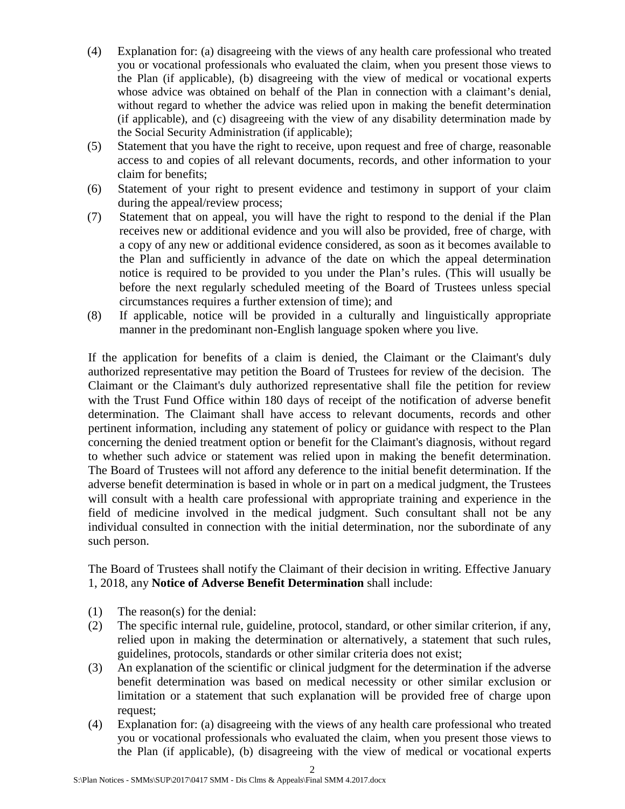- (4) Explanation for: (a) disagreeing with the views of any health care professional who treated you or vocational professionals who evaluated the claim, when you present those views to the Plan (if applicable), (b) disagreeing with the view of medical or vocational experts whose advice was obtained on behalf of the Plan in connection with a claimant's denial, without regard to whether the advice was relied upon in making the benefit determination (if applicable), and (c) disagreeing with the view of any disability determination made by the Social Security Administration (if applicable);
- (5) Statement that you have the right to receive, upon request and free of charge, reasonable access to and copies of all relevant documents, records, and other information to your claim for benefits;
- (6) Statement of your right to present evidence and testimony in support of your claim during the appeal/review process;
- (7) Statement that on appeal, you will have the right to respond to the denial if the Plan receives new or additional evidence and you will also be provided, free of charge, with a copy of any new or additional evidence considered, as soon as it becomes available to the Plan and sufficiently in advance of the date on which the appeal determination notice is required to be provided to you under the Plan's rules. (This will usually be before the next regularly scheduled meeting of the Board of Trustees unless special circumstances requires a further extension of time); and
- (8) If applicable, notice will be provided in a culturally and linguistically appropriate manner in the predominant non-English language spoken where you live.

If the application for benefits of a claim is denied, the Claimant or the Claimant's duly authorized representative may petition the Board of Trustees for review of the decision. The Claimant or the Claimant's duly authorized representative shall file the petition for review with the Trust Fund Office within 180 days of receipt of the notification of adverse benefit determination. The Claimant shall have access to relevant documents, records and other pertinent information, including any statement of policy or guidance with respect to the Plan concerning the denied treatment option or benefit for the Claimant's diagnosis, without regard to whether such advice or statement was relied upon in making the benefit determination. The Board of Trustees will not afford any deference to the initial benefit determination. If the adverse benefit determination is based in whole or in part on a medical judgment, the Trustees will consult with a health care professional with appropriate training and experience in the field of medicine involved in the medical judgment. Such consultant shall not be any individual consulted in connection with the initial determination, nor the subordinate of any such person.

The Board of Trustees shall notify the Claimant of their decision in writing. Effective January 1, 2018, any **Notice of Adverse Benefit Determination** shall include:

- (1) The reason(s) for the denial:
- (2) The specific internal rule, guideline, protocol, standard, or other similar criterion, if any, relied upon in making the determination or alternatively, a statement that such rules, guidelines, protocols, standards or other similar criteria does not exist;
- (3) An explanation of the scientific or clinical judgment for the determination if the adverse benefit determination was based on medical necessity or other similar exclusion or limitation or a statement that such explanation will be provided free of charge upon request;
- (4) Explanation for: (a) disagreeing with the views of any health care professional who treated you or vocational professionals who evaluated the claim, when you present those views to the Plan (if applicable), (b) disagreeing with the view of medical or vocational experts